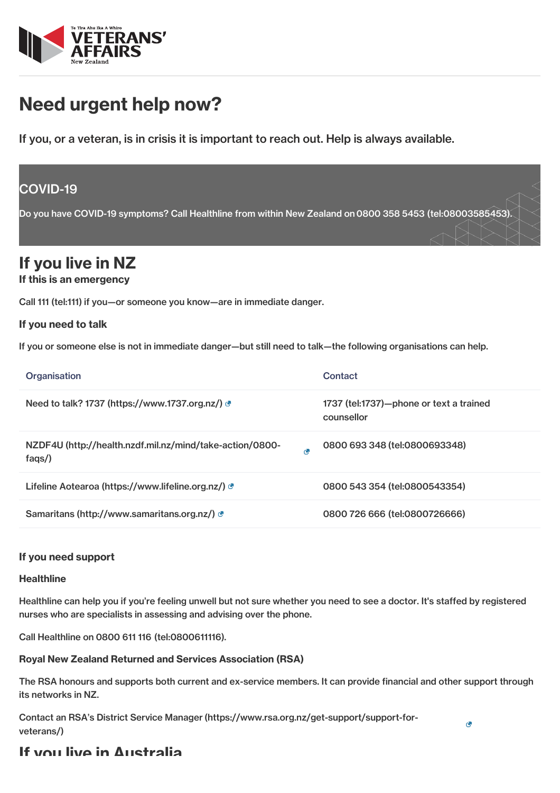

# Need urgent help now?

If you, or a veteran, is in crisis it is important to reach out. Help is always available.

## COVID-19

Do you have COVID-19 symptoms? Call Healthline from within New Zealand on 0800 358 5453 [\(tel:08003585453\)](tel:08003585453).

## If you live in NZ

#### If this is an emergency

Call 111 [\(tel:111\)](tel:111) if you—or someone you know—are in immediate danger.

#### If you need to talk

If you or someone else is not in immediate danger—but still need to talk—the following organisations can help.

| Organisation                                                          | Contact                                               |
|-----------------------------------------------------------------------|-------------------------------------------------------|
| Need to talk? 1737 (https://www.1737.org.nz/)                         | 1737 (tel:1737)—phone or text a trained<br>counsellor |
| NZDF4U (http://health.nzdf.mil.nz/mind/take-action/0800-<br>ø<br>faqs | 0800 693 348 (tel:0800693348)                         |
| Lifeline Aotearoa (https://www.lifeline.org.nz/) @                    | 0800 543 354 (tel:0800543354)                         |
| Samaritans (http://www.samaritans.org.nz/) &                          | 0800 726 666 (tel:0800726666)                         |

#### If you need support

#### **Healthline**

Healthline can help you if you're feeling unwell but not sure whether you need to see a doctor. It's staffed by registered nurses who are specialists in assessing and advising over the phone.

Call Healthline on 0800 611 116 [\(tel:0800611116\)](tel:0800611116).

#### Royal New Zealand Returned and Services Association (RSA)

The RSA honours and supports both current and ex-service members. It can provide financial and other support through its networks in NZ.

Contact an RSA's District Service [Manager\(https://www.rsa.org.nz/get-support/support-for](https://www.rsa.org.nz/get-support/support-for-veterans/)veterans/)

### If you live in Australia